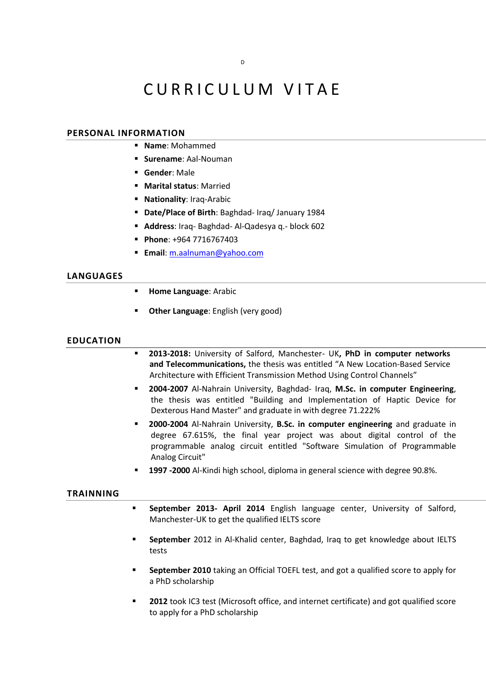# CURRICULUM VITAE

## **PERSONAL INFORMATION**

- **Name**: Mohammed
- **Surename**: Aal-Nouman
- **Gender**: Male
- **Marital status**: Married
- **Nationality**: Iraq-Arabic
- **Date/Place of Birth**: Baghdad- Iraq/ January 1984
- **Address**: Iraq- Baghdad- Al-Qadesya q.- block 602
- **Phone**: +964 7716767403
- **Email**: [m.aalnuman@yahoo.com](mailto:m.aalnuman@yahoo.com)

# **LANGUAGES**

- **Home Language: Arabic**
- **Other Language**: English (very good)

#### **EDUCATION**

- **2013-2018:** University of Salford, Manchester- UK**, PhD in computer networks and Telecommunications,** the thesis was entitled "A New Location-Based Service Architecture with Efficient Transmission Method Using Control Channels"
- **2004-2007** Al-Nahrain University, Baghdad- Iraq, **M.Sc. in computer Engineering**, the thesis was entitled "Building and Implementation of Haptic Device for Dexterous Hand Master" and graduate in with degree 71.222%
- **2000-2004** Al-Nahrain University, **B.Sc. in computer engineering** and graduate in degree 67.615%, the final year project was about digital control of the programmable analog circuit entitled "Software Simulation of Programmable Analog Circuit"
- **1997 -2000** Al-Kindi high school, diploma in general science with degree 90.8%.

#### **TRAINNING**

- **September 2013- April 2014** English language center, University of Salford, Manchester-UK to get the qualified IELTS score
- **September** 2012 in Al-Khalid center, Baghdad, Iraq to get knowledge about IELTS tests
- **September 2010** taking an Official TOEFL test, and got a qualified score to apply for a PhD scholarship
- **2012** took IC3 test (Microsoft office, and internet certificate) and got qualified score to apply for a PhD scholarship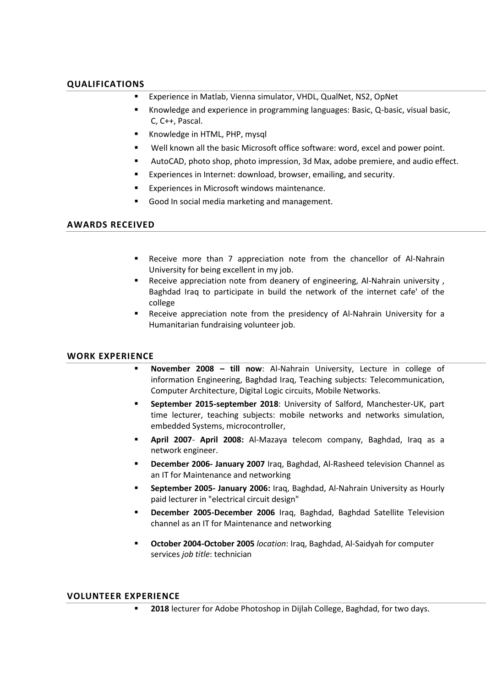# **QUALIFICATIONS**

- Experience in Matlab, Vienna simulator, VHDL, QualNet, NS2, OpNet
- Knowledge and experience in programming languages: Basic, Q-basic, visual basic, C, C++, Pascal.
- **K**nowledge in HTML, PHP, mysql
- Well known all the basic Microsoft office software: word, excel and power point.
- AutoCAD, photo shop, photo impression, 3d Max, adobe premiere, and audio effect.
- Experiences in Internet: download, browser, emailing, and security.
- Experiences in Microsoft windows maintenance.
- Good In social media marketing and management.

# **AWARDS RECEIVED**

- Receive more than 7 appreciation note from the chancellor of Al-Nahrain University for being excellent in my job.
- **EXEC** Receive appreciation note from deanery of engineering, Al-Nahrain university, Baghdad Iraq to participate in build the network of the internet cafe' of the college
- Receive appreciation note from the presidency of Al-Nahrain University for a Humanitarian fundraising volunteer job.

# **WORK EXPERIENCE**

- **November 2008 – till now**: Al-Nahrain University, Lecture in college of information Engineering, Baghdad Iraq, Teaching subjects: Telecommunication, Computer Architecture, Digital Logic circuits, Mobile Networks.
- **September 2015-september 2018**: University of Salford, Manchester-UK, part time lecturer, teaching subjects: mobile networks and networks simulation, embedded Systems, microcontroller,
- **April 2007 April 2008:** Al-Mazaya telecom company, Baghdad, Iraq as a network engineer.
- **December 2006- January 2007** Iraq, Baghdad, Al-Rasheed television Channel as an IT for Maintenance and networking
- **September 2005- January 2006:** Iraq, Baghdad, Al-Nahrain University as Hourly paid lecturer in "electrical circuit design"
- **December 2005-December 2006** Iraq, Baghdad, Baghdad Satellite Television channel as an IT for Maintenance and networking
- **October 2004-October 2005** *location*: Iraq, Baghdad, Al-Saidyah for computer services *job title*: technician

# **VOLUNTEER EXPERIENCE**

**2018** lecturer for Adobe Photoshop in Dijlah College, Baghdad, for two days.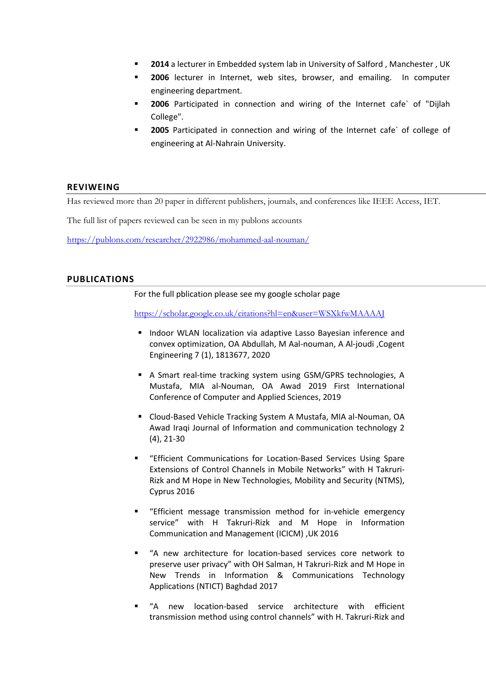- **2014** a lecturer in Embedded system lab in University of Salford , Manchester , UK
- **2006** lecturer in Internet, web sites, browser, and emailing. In computer engineering department.
- **2006** Participated in connection and wiring of the Internet cafe` of "Dijlah College".
- **2005** Participated in connection and wiring of the Internet cafe` of college of engineering at Al-Nahrain University.

# **REVIWEING**

Has reviewed more than 20 paper in different publishers, journals, and conferences like IEEE Access, IET.

The full list of papers reviewed can be seen in my publons accounts

<https://publons.com/researcher/2922986/mohammed-aal-nouman/>

# **PUBLICATIONS**

For the full pblication please see my google scholar page

<https://scholar.google.co.uk/citations?hl=en&user=WSXkfwMAAAAJ>

- **Indoor WLAN localization via adaptive Lasso Bayesian inference and** convex optimization, OA Abdullah, M Aal-nouman, A Al-joudi ,Cogent Engineering 7 (1), 1813677, 2020
- A Smart real-time tracking system using GSM/GPRS technologies, A Mustafa, MIA al-Nouman, OA Awad 2019 First International Conference of Computer and Applied Sciences, 2019
- Cloud-Based Vehicle Tracking System A Mustafa, MIA al-Nouman, OA Awad Iraqi Journal of Information and communication technology 2 (4), 21-30
- "Efficient Communications for Location-Based Services Using Spare Extensions of Control Channels in Mobile Networks" with H Takruri-Rizk and M Hope in New Technologies, Mobility and Security (NTMS), Cyprus 2016
- "Efficient message transmission method for in-vehicle emergency service" with H Takruri-Rizk and M Hope in Information Communication and Management (ICICM) ,UK 2016
- "A new architecture for location-based services core network to preserve user privacy" with OH Salman, H Takruri-Rizk and M Hope in New Trends in Information & Communications Technology Applications (NTICT) Baghdad 2017
- "A new location-based service architecture with efficient transmission method using control channels" with H. Takruri-Rizk and